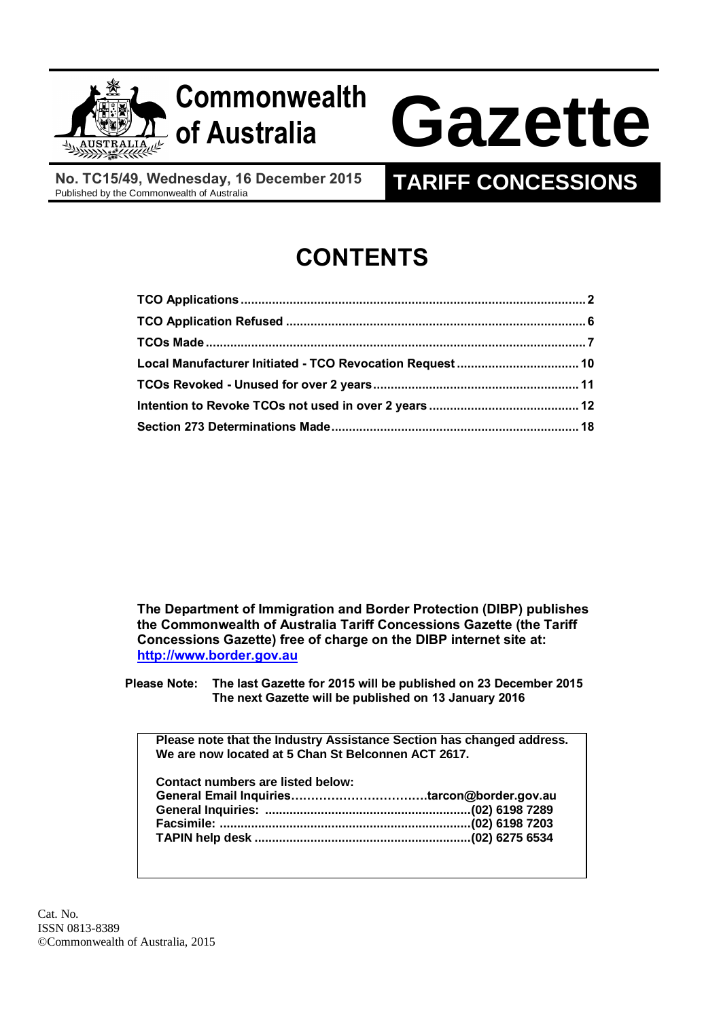

# **Commonwealth**

# **of Australia Gazette**

**No. TC15/49, Wednesday, 16 December 2015**

# **TARIFF CONCESSIONS**

# **CONTENTS**

| Local Manufacturer Initiated - TCO Revocation Request  10 |  |
|-----------------------------------------------------------|--|
|                                                           |  |
|                                                           |  |
|                                                           |  |

**The Department of Immigration and Border Protection (DIBP) publishes the Commonwealth of Australia Tariff Concessions Gazette (the Tariff Concessions Gazette) free of charge on the DIBP internet site at: [http://www.border.gov.au](http://www.border.gov.au/)**

**Please Note: The last Gazette for 2015 will be published on 23 December 2015 The next Gazette will be published on 13 January 2016**

**Please note that the Industry Assistance Section has changed address. We are now located at 5 Chan St Belconnen ACT 2617.**

| <b>Contact numbers are listed below:</b> |  |
|------------------------------------------|--|
|                                          |  |
|                                          |  |
|                                          |  |
|                                          |  |
|                                          |  |

Cat. No. ISSN 0813-8389 ©Commonwealth of Australia, 2015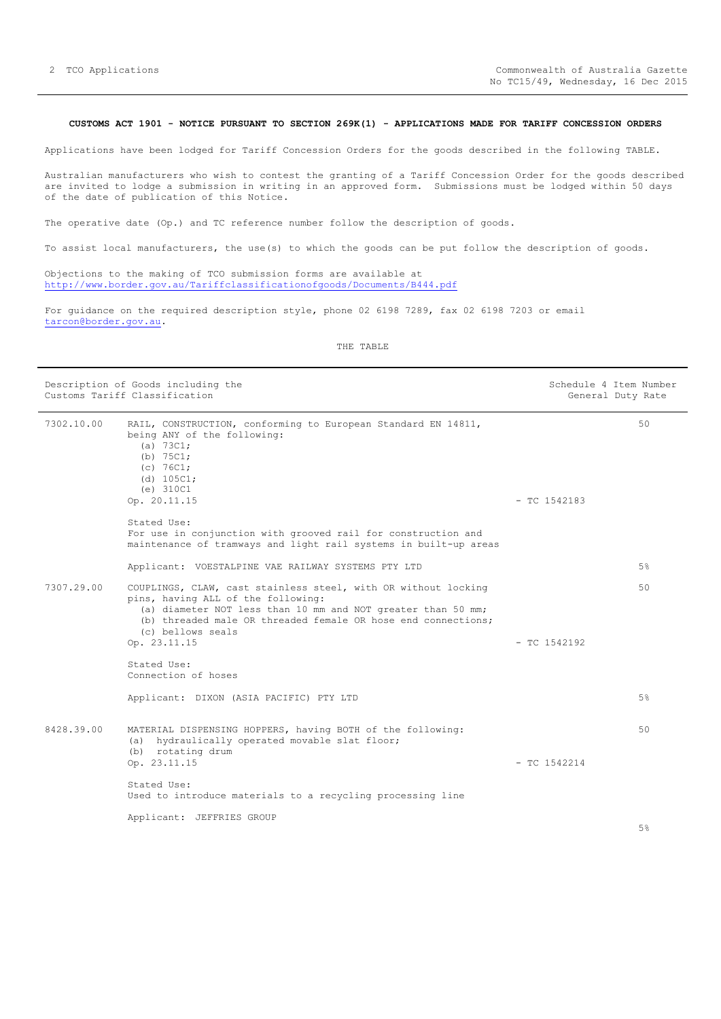# <span id="page-1-0"></span>**CUSTOMS ACT 1901 - NOTICE PURSUANT TO SECTION 269K(1) - APPLICATIONS MADE FOR TARIFF CONCESSION ORDERS**

Applications have been lodged for Tariff Concession Orders for the goods described in the following TABLE.

Australian manufacturers who wish to contest the granting of a Tariff Concession Order for the goods described are invited to lodge a submission in writing in an approved form. Submissions must be lodged within 50 days of the date of publication of this Notice.

The operative date (Op.) and TC reference number follow the description of goods.

To assist local manufacturers, the use(s) to which the goods can be put follow the description of goods.

Objections to the making of TCO submission forms are available at <http://www.border.gov.au/Tariffclassificationofgoods/Documents/B444.pdf>

For guidance on the required description style, phone 02 6198 7289, fax 02 6198 7203 or email [tarcon@border.gov.au.](mailto:tarcon@border.gov.au)

|            | Description of Goods including the<br>Customs Tariff Classification                                                                                                                                                                                                        |                | Schedule 4 Item Number<br>General Duty Rate |
|------------|----------------------------------------------------------------------------------------------------------------------------------------------------------------------------------------------------------------------------------------------------------------------------|----------------|---------------------------------------------|
| 7302.10.00 | RAIL, CONSTRUCTION, conforming to European Standard EN 14811,<br>being ANY of the following:<br>(a) 73C1;<br>(b) $75C1;$<br>(c) 76C1;<br>(d) 105C1;<br>(e) 310C1<br>Op. 20.11.15                                                                                           | $-$ TC 1542183 | 50                                          |
|            | Stated Use:<br>For use in conjunction with grooved rail for construction and<br>maintenance of tramways and light rail systems in built-up areas                                                                                                                           |                |                                             |
|            | Applicant: VOESTALPINE VAE RAILWAY SYSTEMS PTY LTD                                                                                                                                                                                                                         |                | 5%                                          |
| 7307.29.00 | COUPLINGS, CLAW, cast stainless steel, with OR without locking<br>pins, having ALL of the following:<br>(a) diameter NOT less than 10 mm and NOT greater than 50 mm;<br>(b) threaded male OR threaded female OR hose end connections;<br>(c) bellows seals<br>Op. 23.11.15 | $-$ TC 1542192 | 50                                          |
|            | Stated Use:<br>Connection of hoses                                                                                                                                                                                                                                         |                |                                             |
|            | Applicant: DIXON (ASIA PACIFIC) PTY LTD                                                                                                                                                                                                                                    |                | $5\%$                                       |
| 8428.39.00 | MATERIAL DISPENSING HOPPERS, having BOTH of the following:<br>(a) hydraulically operated movable slat floor;<br>(b) rotating drum<br>Op. 23.11.15                                                                                                                          | $-$ TC 1542214 | 50                                          |
|            | Stated Use:<br>Used to introduce materials to a recycling processing line                                                                                                                                                                                                  |                |                                             |
|            | Applicant: JEFFRIES GROUP                                                                                                                                                                                                                                                  |                | $\sim$ 0.                                   |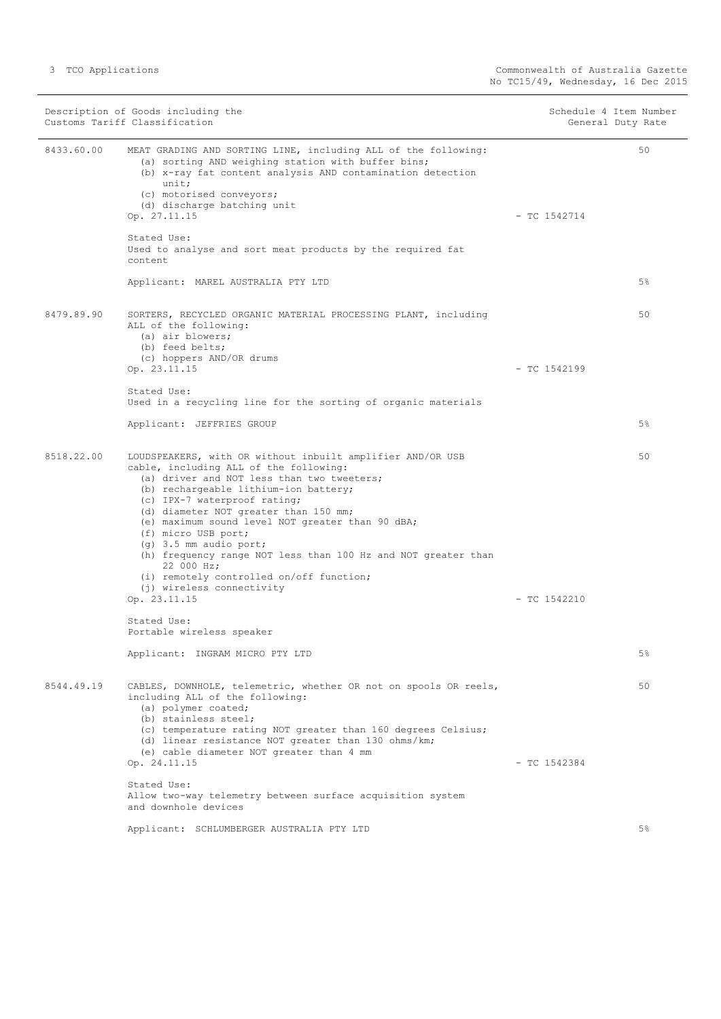|            | Description of Goods including the<br>Customs Tariff Classification                                                                                                                                                                                                                                                                                                                                                                                                                                                                                 |                | Schedule 4 Item Number<br>General Duty Rate |
|------------|-----------------------------------------------------------------------------------------------------------------------------------------------------------------------------------------------------------------------------------------------------------------------------------------------------------------------------------------------------------------------------------------------------------------------------------------------------------------------------------------------------------------------------------------------------|----------------|---------------------------------------------|
| 8433.60.00 | MEAT GRADING AND SORTING LINE, including ALL of the following:<br>(a) sorting AND weighing station with buffer bins;<br>(b) x-ray fat content analysis AND contamination detection<br>unit;<br>(c) motorised conveyors;<br>(d) discharge batching unit                                                                                                                                                                                                                                                                                              |                | 50                                          |
|            | Op. 27.11.15                                                                                                                                                                                                                                                                                                                                                                                                                                                                                                                                        | $-$ TC 1542714 |                                             |
|            | Stated Use:<br>Used to analyse and sort meat products by the required fat<br>content                                                                                                                                                                                                                                                                                                                                                                                                                                                                |                |                                             |
|            | Applicant: MAREL AUSTRALIA PTY LTD                                                                                                                                                                                                                                                                                                                                                                                                                                                                                                                  |                | 5%                                          |
| 8479.89.90 | SORTERS, RECYCLED ORGANIC MATERIAL PROCESSING PLANT, including<br>ALL of the following:<br>(a) air blowers;<br>(b) feed belts;<br>(c) hoppers AND/OR drums                                                                                                                                                                                                                                                                                                                                                                                          |                | 50                                          |
|            | Op. 23.11.15                                                                                                                                                                                                                                                                                                                                                                                                                                                                                                                                        | $-$ TC 1542199 |                                             |
|            | Stated Use:<br>Used in a recycling line for the sorting of organic materials                                                                                                                                                                                                                                                                                                                                                                                                                                                                        |                |                                             |
|            | Applicant: JEFFRIES GROUP                                                                                                                                                                                                                                                                                                                                                                                                                                                                                                                           |                | 5%                                          |
| 8518.22.00 | LOUDSPEAKERS, with OR without inbuilt amplifier AND/OR USB<br>cable, including ALL of the following:<br>(a) driver and NOT less than two tweeters;<br>(b) rechargeable lithium-ion battery;<br>(c) IPX-7 waterproof rating;<br>(d) diameter NOT greater than 150 mm;<br>(e) maximum sound level NOT greater than 90 dBA;<br>(f) micro USB port;<br>$(q)$ 3.5 mm audio port;<br>(h) frequency range NOT less than 100 Hz and NOT greater than<br>22 000 Hz;<br>(i) remotely controlled on/off function;<br>(j) wireless connectivity<br>Op. 23.11.15 | $-$ TC 1542210 | 50                                          |
|            | Stated Use:<br>Portable wireless speaker                                                                                                                                                                                                                                                                                                                                                                                                                                                                                                            |                |                                             |
|            | Applicant: INGRAM MICRO PTY LTD                                                                                                                                                                                                                                                                                                                                                                                                                                                                                                                     |                | $5\%$                                       |
| 8544.49.19 | CABLES, DOWNHOLE, telemetric, whether OR not on spools OR reels,<br>including ALL of the following:<br>(a) polymer coated;<br>(b) stainless steel;<br>(c) temperature rating NOT greater than 160 degrees Celsius;<br>(d) linear resistance NOT greater than 130 ohms/km;<br>(e) cable diameter NOT greater than 4 mm                                                                                                                                                                                                                               |                | 50                                          |
|            | Op. 24.11.15                                                                                                                                                                                                                                                                                                                                                                                                                                                                                                                                        | $-$ TC 1542384 |                                             |
|            | Stated Use:<br>Allow two-way telemetry between surface acquisition system<br>and downhole devices                                                                                                                                                                                                                                                                                                                                                                                                                                                   |                |                                             |
|            | Applicant: SCHLUMBERGER AUSTRALIA PTY LTD                                                                                                                                                                                                                                                                                                                                                                                                                                                                                                           |                | 5%                                          |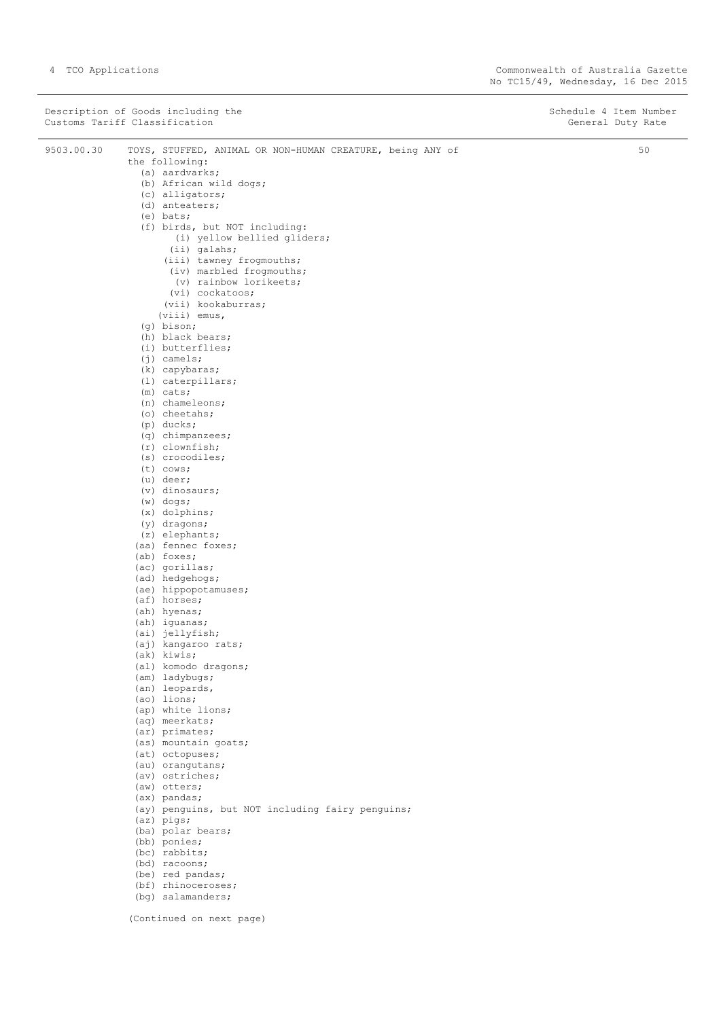|            | Description of Goods including the<br>Customs Tariff Classification                           | Schedule 4 Item Number<br>General Duty Rate |
|------------|-----------------------------------------------------------------------------------------------|---------------------------------------------|
| 9503.00.30 | TOYS, STUFFED, ANIMAL OR NON-HUMAN CREATURE, being ANY of<br>the following:<br>(a) aardvarks; | 50                                          |
|            | (b) African wild dogs;                                                                        |                                             |
|            | (c) alligators;                                                                               |                                             |
|            | (d) anteaters;                                                                                |                                             |
|            | $(e)$ bats;                                                                                   |                                             |
|            | (f) birds, but NOT including:                                                                 |                                             |
|            | (i) yellow bellied gliders;<br>(ii) galahs;                                                   |                                             |
|            | (iii) tawney frogmouths;                                                                      |                                             |
|            | (iv) marbled frogmouths;                                                                      |                                             |
|            | (v) rainbow lorikeets;                                                                        |                                             |
|            | (vi) cockatoos;                                                                               |                                             |
|            | (vii) kookaburras;                                                                            |                                             |
|            | $(viii)$ emus,<br>$(q)$ bison;                                                                |                                             |
|            | (h) black bears;                                                                              |                                             |
|            | (i) butterflies;                                                                              |                                             |
|            | $(j)$ camels;                                                                                 |                                             |
|            | (k) capybaras;                                                                                |                                             |
|            | (1) caterpillars;                                                                             |                                             |
|            | $(m)$ cats;                                                                                   |                                             |
|            | $(n)$ chameleons;<br>(o) cheetahs;                                                            |                                             |
|            | $(p)$ ducks;                                                                                  |                                             |
|            | $(q)$ chimpanzees;                                                                            |                                             |
|            | $(r)$ clownfish;                                                                              |                                             |
|            | (s) crocodiles;                                                                               |                                             |
|            | $(t)$ cows;                                                                                   |                                             |
|            | $(u)$ deer;                                                                                   |                                             |
|            | (v) dinosaurs;<br>$(w)$ dogs;                                                                 |                                             |
|            | $(x)$ dolphins;                                                                               |                                             |
|            | (y) dragons;                                                                                  |                                             |
|            | (z) elephants;                                                                                |                                             |
|            | (aa) fennec foxes;                                                                            |                                             |
|            | (ab) foxes;                                                                                   |                                             |
|            | (ac) gorillas;<br>(ad) hedgehogs;                                                             |                                             |
|            | (ae) hippopotamuses;                                                                          |                                             |
|            | (af) horses;                                                                                  |                                             |
|            | (ah) hyenas;                                                                                  |                                             |
|            | (ah) iguanas;                                                                                 |                                             |
|            | (ai) jellyfish;                                                                               |                                             |
|            | (aj) kangaroo rats;                                                                           |                                             |
|            | (ak) kiwis;<br>(al) komodo dragons;                                                           |                                             |
|            | (am) ladybugs;                                                                                |                                             |
|            | (an) leopards,                                                                                |                                             |
|            | (ao) lions;                                                                                   |                                             |
|            | (ap) white lions;                                                                             |                                             |
|            | (aq) meerkats;                                                                                |                                             |
|            | (ar) primates;<br>(as) mountain goats;                                                        |                                             |
|            | (at) octopuses;                                                                               |                                             |
|            | (au) orangutans;                                                                              |                                             |
|            | (av) ostriches;                                                                               |                                             |
|            | (aw) otters;                                                                                  |                                             |
|            | (ax) pandas;                                                                                  |                                             |
|            | (ay) penguins, but NOT including fairy penguins;                                              |                                             |
|            | $(az)$ pigs;<br>(ba) polar bears;                                                             |                                             |
|            | (bb) ponies;                                                                                  |                                             |
|            | (bc) rabbits;                                                                                 |                                             |
|            | (bd) racoons;                                                                                 |                                             |
|            | (be) red pandas;                                                                              |                                             |
|            | (bf) rhinoceroses;                                                                            |                                             |
|            | (bg) salamanders;                                                                             |                                             |

(Continued on next page)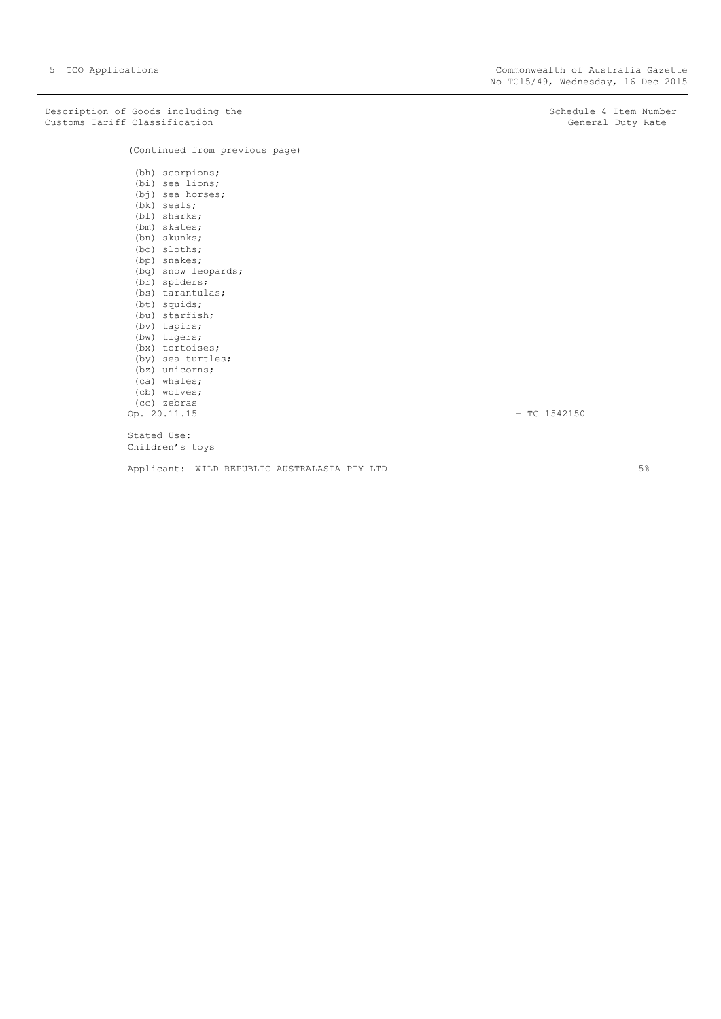Description of Goods including the Schedule 4 Item Number<br>
Customs Tariff Classification Customs Tariff Classification Customs Tariff Classification

(Continued from previous page)

(bh) scorpions; (bi) sea lions; (bj) sea horses; (bk) seals; (bl) sharks; (bm) skates; (bn) skunks; (bo) sloths; (bp) snakes; (bq) snow leopards; (br) spiders; (bs) tarantulas; (bt) squids; (bu) starfish; (bv) tapirs; (bw) tigers; (bx) tortoises; (by) sea turtles; (bz) unicorns; (ca) whales; (cb) wolves; (cc) zebras Op. 20.11.15 - TC 1542150 Stated Use:

Children's toys

Applicant: WILD REPUBLIC AUSTRALASIA PTY LTD 5% 5%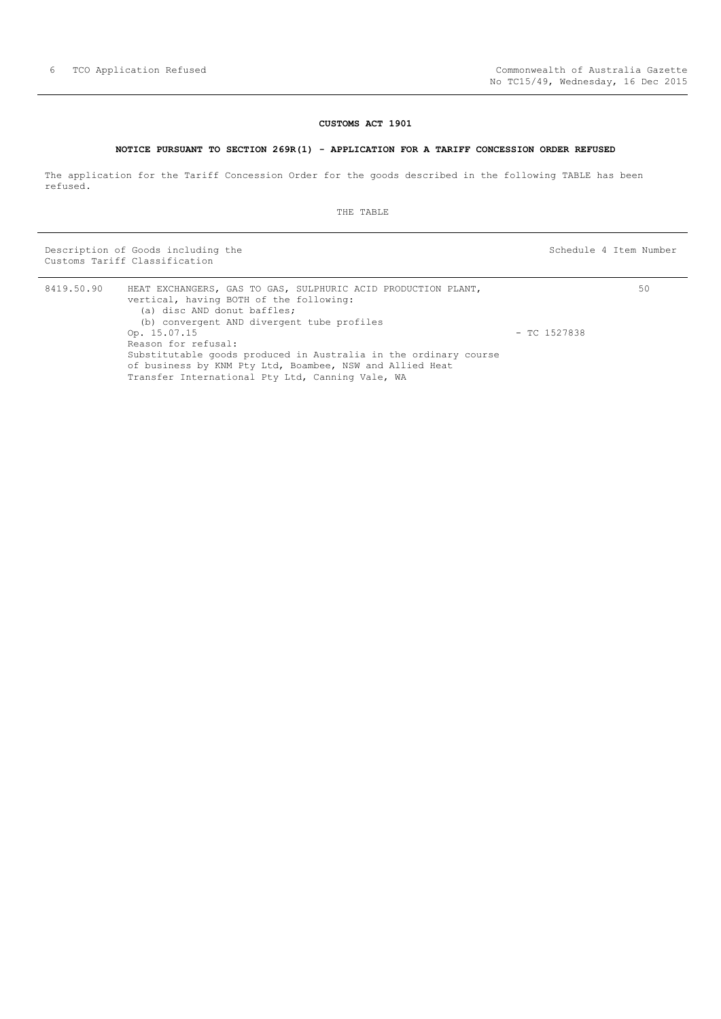# **CUSTOMS ACT 1901**

## **NOTICE PURSUANT TO SECTION 269R(1) - APPLICATION FOR A TARIFF CONCESSION ORDER REFUSED**

<span id="page-5-0"></span>The application for the Tariff Concession Order for the goods described in the following TABLE has been refused.

THE TABLE

Description of Goods including the Schedule 4 Item Number (Schedule 4 Item Number Customs Tariff Classification

50

| 8419.50.90 | HEAT EXCHANGERS, GAS TO GAS, SULPHURIC ACID PRODUCTION PLANT,<br>vertical, having BOTH of the following:<br>(a) disc AND donut baffles;                                          |                |
|------------|----------------------------------------------------------------------------------------------------------------------------------------------------------------------------------|----------------|
|            | (b) convergent AND divergent tube profiles                                                                                                                                       |                |
|            | Op. 15.07.15                                                                                                                                                                     | $-$ TC 1527838 |
|            | Reason for refusal:                                                                                                                                                              |                |
|            | Substitutable goods produced in Australia in the ordinary course<br>of business by KNM Pty Ltd, Boambee, NSW and Allied Heat<br>Transfer International Pty Ltd, Canning Vale, WA |                |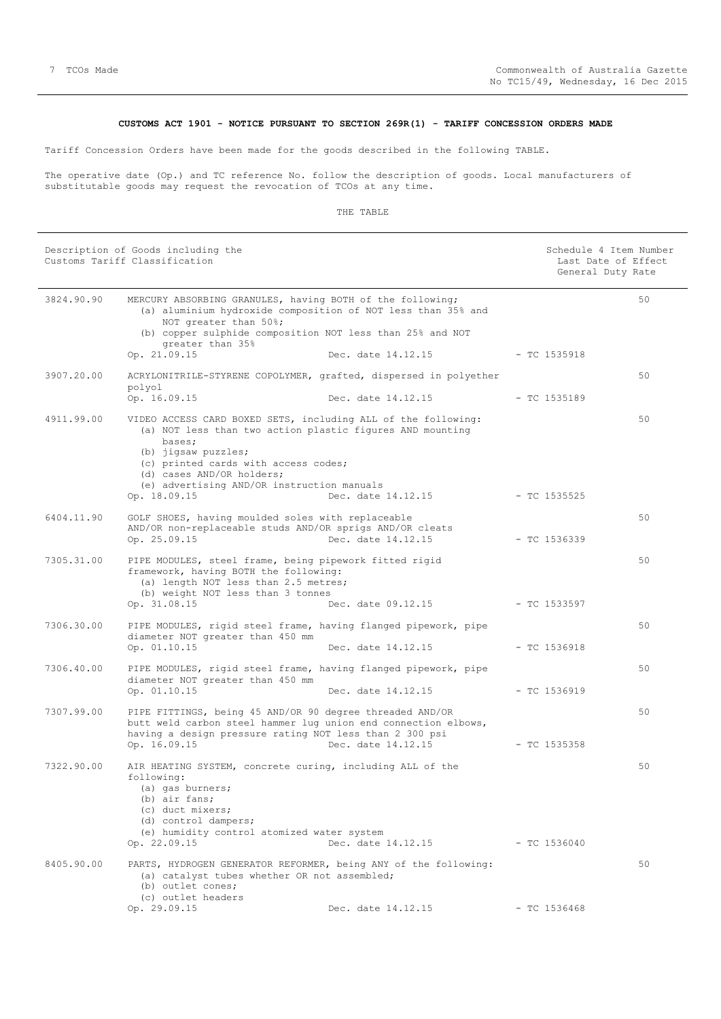# **CUSTOMS ACT 1901 - NOTICE PURSUANT TO SECTION 269R(1) - TARIFF CONCESSION ORDERS MADE**

<span id="page-6-0"></span>Tariff Concession Orders have been made for the goods described in the following TABLE.

The operative date (Op.) and TC reference No. follow the description of goods. Local manufacturers of substitutable goods may request the revocation of TCOs at any time.

|            | Description of Goods including the<br>Customs Tariff Classification                                                                                                                                                                                                                            |                                          |                                | Schedule 4 Item Number<br>Last Date of Effect<br>General Duty Rate |
|------------|------------------------------------------------------------------------------------------------------------------------------------------------------------------------------------------------------------------------------------------------------------------------------------------------|------------------------------------------|--------------------------------|--------------------------------------------------------------------|
| 3824.90.90 | MERCURY ABSORBING GRANULES, having BOTH of the following;<br>(a) aluminium hydroxide composition of NOT less than 35% and<br>NOT greater than 50%;<br>(b) copper sulphide composition NOT less than 25% and NOT<br>qreater than 35%<br>Op. 21.09.15                                            | Dec. date 14.12.15                       | $-$ TC 1535918                 | 50                                                                 |
| 3907.20.00 | ACRYLONITRILE-STYRENE COPOLYMER, grafted, dispersed in polyether<br>polyol                                                                                                                                                                                                                     |                                          |                                | 50                                                                 |
| 4911.99.00 | Op. 16.09.15<br>VIDEO ACCESS CARD BOXED SETS, including ALL of the following:<br>(a) NOT less than two action plastic figures AND mounting<br>bases;<br>(b) jigsaw puzzles;<br>(c) printed cards with access codes;<br>(d) cases AND/OR holders;<br>(e) advertising AND/OR instruction manuals | Dec. date 14.12.15                       | $-$ TC 1535189                 | 50                                                                 |
| 6404.11.90 | Op. 18.09.15<br>GOLF SHOES, having moulded soles with replaceable<br>AND/OR non-replaceable studs AND/OR sprigs AND/OR cleats<br>Op. 25.09.15                                                                                                                                                  | Dec. date 14.12.15<br>Dec. date 14.12.15 | - TC 1535525<br>$-$ TC 1536339 | 50                                                                 |
| 7305.31.00 | PIPE MODULES, steel frame, being pipework fitted rigid<br>framework, having BOTH the following:<br>(a) length NOT less than 2.5 metres;<br>(b) weight NOT less than 3 tonnes<br>Op. 31.08.15                                                                                                   | Dec. date 09.12.15                       | - TC 1533597                   | 50                                                                 |
| 7306.30.00 | PIPE MODULES, rigid steel frame, having flanged pipework, pipe<br>diameter NOT greater than 450 mm<br>Op. 01.10.15                                                                                                                                                                             | Dec. date 14.12.15                       | - TC 1536918                   | 50                                                                 |
| 7306.40.00 | PIPE MODULES, rigid steel frame, having flanged pipework, pipe<br>diameter NOT greater than 450 mm<br>Op. 01.10.15                                                                                                                                                                             | Dec. date 14.12.15                       | $-$ TC 1536919                 | 50                                                                 |
| 7307.99.00 | PIPE FITTINGS, being 45 AND/OR 90 degree threaded AND/OR<br>butt weld carbon steel hammer lug union end connection elbows,<br>having a design pressure rating NOT less than 2 300 psi<br>Op. 16.09.15                                                                                          | Dec. date 14.12.15                       | $-$ TC 1535358                 | 50                                                                 |
| 7322.90.00 | AIR HEATING SYSTEM, concrete curing, including ALL of the<br>following:<br>(a) gas burners;<br>(b) air fans;<br>(c) duct mixers;<br>(d) control dampers;<br>(e) humidity control atomized water system<br>Op. 22.09.15                                                                         | Dec. date 14.12.15                       | $-$ TC 1536040                 | 50                                                                 |
| 8405.90.00 | PARTS, HYDROGEN GENERATOR REFORMER, being ANY of the following:<br>(a) catalyst tubes whether OR not assembled;<br>(b) outlet cones;<br>(c) outlet headers<br>Op. 29.09.15                                                                                                                     | Dec. date 14.12.15                       | $-$ TC 1536468                 | 50                                                                 |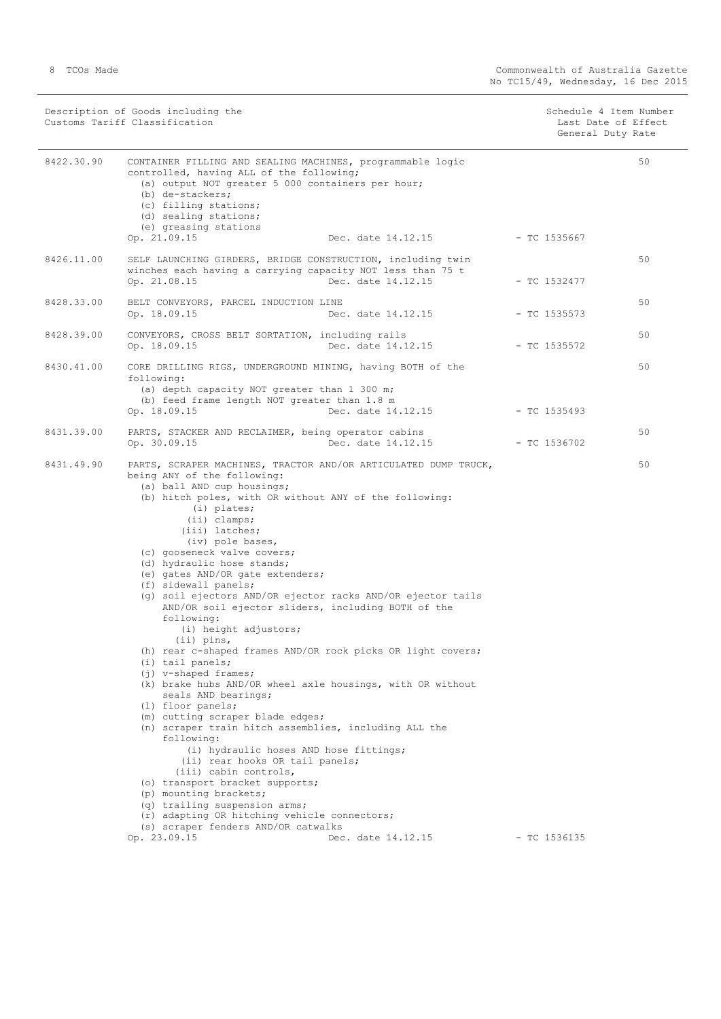|            | Description of Goods including the<br>Customs Tariff Classification                                                                                                                                                                                                                                                                                                                                                                                                                                                                                                                                                                                                                                                                                                                                                                                                                                                                                                                                                                                                                                                                                                                                                                 | Schedule 4 Item Number<br>Last Date of Effect<br>General Duty Rate |    |
|------------|-------------------------------------------------------------------------------------------------------------------------------------------------------------------------------------------------------------------------------------------------------------------------------------------------------------------------------------------------------------------------------------------------------------------------------------------------------------------------------------------------------------------------------------------------------------------------------------------------------------------------------------------------------------------------------------------------------------------------------------------------------------------------------------------------------------------------------------------------------------------------------------------------------------------------------------------------------------------------------------------------------------------------------------------------------------------------------------------------------------------------------------------------------------------------------------------------------------------------------------|--------------------------------------------------------------------|----|
| 8422.30.90 | CONTAINER FILLING AND SEALING MACHINES, programmable logic<br>controlled, having ALL of the following;<br>(a) output NOT greater 5 000 containers per hour;<br>(b) de-stackers;<br>(c) filling stations;<br>(d) sealing stations;<br>(e) greasing stations                                                                                                                                                                                                                                                                                                                                                                                                                                                                                                                                                                                                                                                                                                                                                                                                                                                                                                                                                                          |                                                                    | 50 |
|            | Op. 21.09.15<br>Dec. date 14.12.15                                                                                                                                                                                                                                                                                                                                                                                                                                                                                                                                                                                                                                                                                                                                                                                                                                                                                                                                                                                                                                                                                                                                                                                                  | - TC 1535667                                                       |    |
| 8426.11.00 | SELF LAUNCHING GIRDERS, BRIDGE CONSTRUCTION, including twin<br>winches each having a carrying capacity NOT less than 75 t<br>Op. 21.08.15<br>Dec. date 14.12.15                                                                                                                                                                                                                                                                                                                                                                                                                                                                                                                                                                                                                                                                                                                                                                                                                                                                                                                                                                                                                                                                     | - TC 1532477                                                       | 50 |
| 8428.33.00 | BELT CONVEYORS, PARCEL INDUCTION LINE<br>Dec. date 14.12.15<br>Op. 18.09.15                                                                                                                                                                                                                                                                                                                                                                                                                                                                                                                                                                                                                                                                                                                                                                                                                                                                                                                                                                                                                                                                                                                                                         | $-$ TC 1535573                                                     | 50 |
| 8428.39.00 | CONVEYORS, CROSS BELT SORTATION, including rails<br>Op. 18.09.15<br>Dec. date 14.12.15                                                                                                                                                                                                                                                                                                                                                                                                                                                                                                                                                                                                                                                                                                                                                                                                                                                                                                                                                                                                                                                                                                                                              | - TC 1535572                                                       | 50 |
| 8430.41.00 | CORE DRILLING RIGS, UNDERGROUND MINING, having BOTH of the<br>following:<br>(a) depth capacity NOT greater than 1 300 m;                                                                                                                                                                                                                                                                                                                                                                                                                                                                                                                                                                                                                                                                                                                                                                                                                                                                                                                                                                                                                                                                                                            |                                                                    | 50 |
|            | (b) feed frame length NOT greater than 1.8 m<br>Op. 18.09.15<br>Dec. date 14.12.15                                                                                                                                                                                                                                                                                                                                                                                                                                                                                                                                                                                                                                                                                                                                                                                                                                                                                                                                                                                                                                                                                                                                                  | - TC 1535493                                                       |    |
| 8431.39.00 | PARTS, STACKER AND RECLAIMER, being operator cabins<br>Op. 30.09.15<br>Dec. date 14.12.15                                                                                                                                                                                                                                                                                                                                                                                                                                                                                                                                                                                                                                                                                                                                                                                                                                                                                                                                                                                                                                                                                                                                           | - TC 1536702                                                       | 50 |
| 8431.49.90 | PARTS, SCRAPER MACHINES, TRACTOR AND/OR ARTICULATED DUMP TRUCK,<br>being ANY of the following:<br>(a) ball AND cup housings;<br>(b) hitch poles, with OR without ANY of the following:<br>(i) plates;<br>$(i)$ clamps;<br>(iii) latches;<br>(iv) pole bases,<br>(c) gooseneck valve covers;<br>(d) hydraulic hose stands;<br>(e) gates AND/OR gate extenders;<br>(f) sidewall panels;<br>(g) soil ejectors AND/OR ejector racks AND/OR ejector tails<br>AND/OR soil ejector sliders, including BOTH of the<br>following:<br>(i) height adjustors;<br>$(i)$ pins,<br>(h) rear c-shaped frames AND/OR rock picks OR light covers;<br>(i) tail panels;<br>$(i)$ v-shaped frames;<br>(k) brake hubs AND/OR wheel axle housings, with OR without<br>seals AND bearings;<br>(1) floor panels;<br>(m) cutting scraper blade edges;<br>(n) scraper train hitch assemblies, including ALL the<br>following:<br>(i) hydraulic hoses AND hose fittings;<br>(ii) rear hooks OR tail panels;<br>(iii) cabin controls,<br>(o) transport bracket supports;<br>(p) mounting brackets;<br>(q) trailing suspension arms;<br>(r) adapting OR hitching vehicle connectors;<br>(s) scraper fenders AND/OR catwalks<br>Op. 23.09.15<br>Dec. date 14.12.15 | $-$ TC 1536135                                                     | 50 |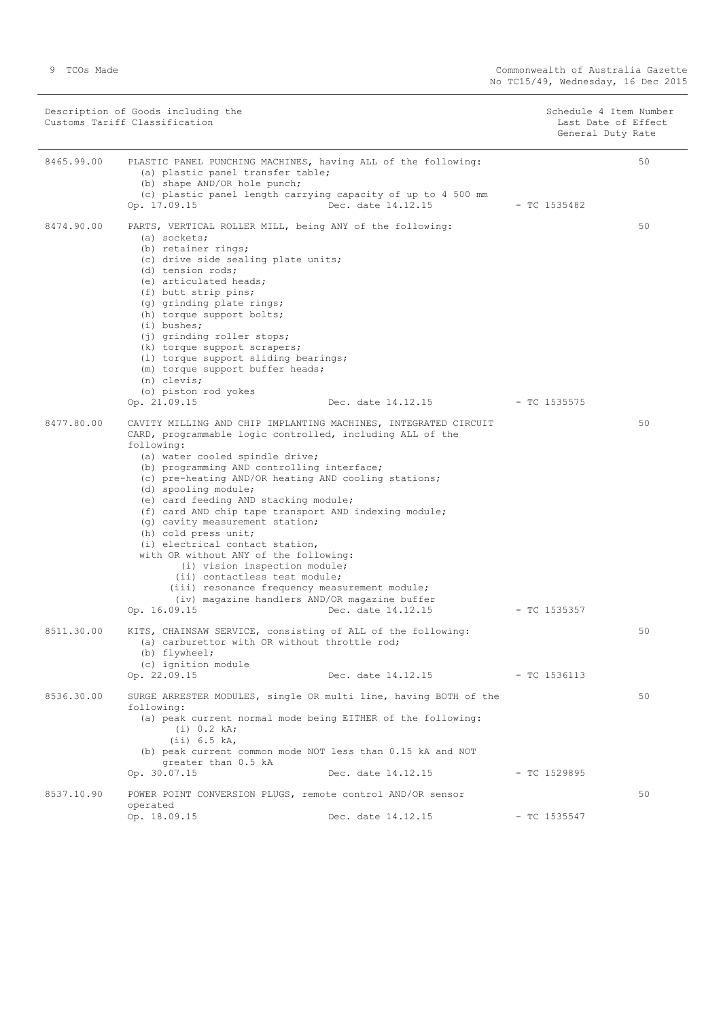|            | Description of Goods including the<br>Customs Tariff Classification                                                                                                                                                                                                                                                                                                                                                                                                                                                                                                                                                                                                                                                                      |                    | Schedule 4 Item Number<br>General Duty Rate | Last Date of Effect |
|------------|------------------------------------------------------------------------------------------------------------------------------------------------------------------------------------------------------------------------------------------------------------------------------------------------------------------------------------------------------------------------------------------------------------------------------------------------------------------------------------------------------------------------------------------------------------------------------------------------------------------------------------------------------------------------------------------------------------------------------------------|--------------------|---------------------------------------------|---------------------|
| 8465.99.00 | PLASTIC PANEL PUNCHING MACHINES, having ALL of the following:<br>(a) plastic panel transfer table;<br>(b) shape AND/OR hole punch;<br>(c) plastic panel length carrying capacity of up to 4 500 mm<br>Op. 17.09.15                                                                                                                                                                                                                                                                                                                                                                                                                                                                                                                       | Dec. date 14.12.15 | $-$ TC 1535482                              | 50                  |
| 8474.90.00 | PARTS, VERTICAL ROLLER MILL, being ANY of the following:<br>$(a)$ sockets;<br>(b) retainer rings;<br>(c) drive side sealing plate units;<br>(d) tension rods;<br>(e) articulated heads;<br>(f) butt strip pins;<br>(g) grinding plate rings;<br>(h) torque support bolts;<br>$(i)$ bushes;<br>(j) grinding roller stops;<br>(k) torque support scrapers;<br>(1) torque support sliding bearings;<br>(m) torque support buffer heads;<br>(n) clevis;<br>(o) piston rod yokes<br>Op. 21.09.15                                                                                                                                                                                                                                              | Dec. date 14.12.15 | - TC 1535575                                | 50                  |
| 8477.80.00 | CAVITY MILLING AND CHIP IMPLANTING MACHINES, INTEGRATED CIRCUIT<br>CARD, programmable logic controlled, including ALL of the<br>following:<br>(a) water cooled spindle drive;<br>(b) programming AND controlling interface;<br>(c) pre-heating AND/OR heating AND cooling stations;<br>(d) spooling module;<br>(e) card feeding AND stacking module;<br>(f) card AND chip tape transport AND indexing module;<br>(g) cavity measurement station;<br>(h) cold press unit;<br>(i) electrical contact station,<br>with OR without ANY of the following:<br>(i) vision inspection module;<br>(ii) contactless test module;<br>(iii) resonance frequency measurement module;<br>(iv) magazine handlers AND/OR magazine buffer<br>Op. 16.09.15 | Dec. date 14.12.15 | $-$ TC 1535357                              | 50                  |
| 8511.30.00 | KITS, CHAINSAW SERVICE, consisting of ALL of the following:<br>(a) carburettor with OR without throttle rod;<br>(b) flywheel;<br>(c) ignition module<br>Op. 22.09.15                                                                                                                                                                                                                                                                                                                                                                                                                                                                                                                                                                     | Dec. date 14.12.15 | - TC 1536113                                | 50                  |
| 8536.30.00 | SURGE ARRESTER MODULES, single OR multi line, having BOTH of the<br>following:<br>(a) peak current normal mode being EITHER of the following:<br>(i) 0.2 kA;<br>(ii) 6.5 kA,<br>(b) peak current common mode NOT less than 0.15 kA and NOT<br>greater than 0.5 kA<br>Op. 30.07.15                                                                                                                                                                                                                                                                                                                                                                                                                                                        | Dec. date 14.12.15 | $-$ TC 1529895                              | 50                  |
| 8537.10.90 | POWER POINT CONVERSION PLUGS, remote control AND/OR sensor<br>operated<br>Op. 18.09.15                                                                                                                                                                                                                                                                                                                                                                                                                                                                                                                                                                                                                                                   | Dec. date 14.12.15 | $-$ TC 1535547                              | 50                  |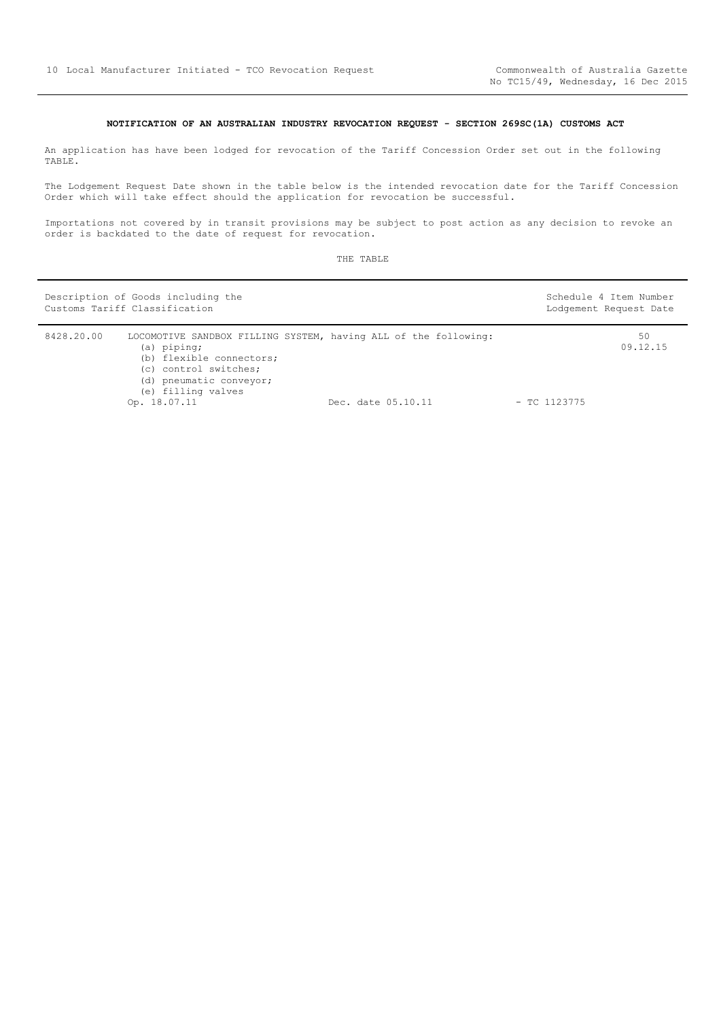# **NOTIFICATION OF AN AUSTRALIAN INDUSTRY REVOCATION REQUEST - SECTION 269SC(1A) CUSTOMS ACT**

<span id="page-9-0"></span>An application has have been lodged for revocation of the Tariff Concession Order set out in the following TABLE.

The Lodgement Request Date shown in the table below is the intended revocation date for the Tariff Concession Order which will take effect should the application for revocation be successful.

Importations not covered by in transit provisions may be subject to post action as any decision to revoke an order is backdated to the date of request for revocation.

|            | Description of Goods including the<br>Customs Tariff Classification                                                                                                                  |                    | Schedule 4 Item Number<br>Lodgement Request Date |
|------------|--------------------------------------------------------------------------------------------------------------------------------------------------------------------------------------|--------------------|--------------------------------------------------|
| 8428.20.00 | LOCOMOTIVE SANDBOX FILLING SYSTEM, having ALL of the following:<br>(a) piping;<br>(b) flexible connectors;<br>(c) control switches;<br>(d) pneumatic conveyor;<br>(e) filling valves |                    | 50<br>09.12.15                                   |
|            | Op. 18.07.11                                                                                                                                                                         | Dec. date 05.10.11 | $-$ TC 1123775                                   |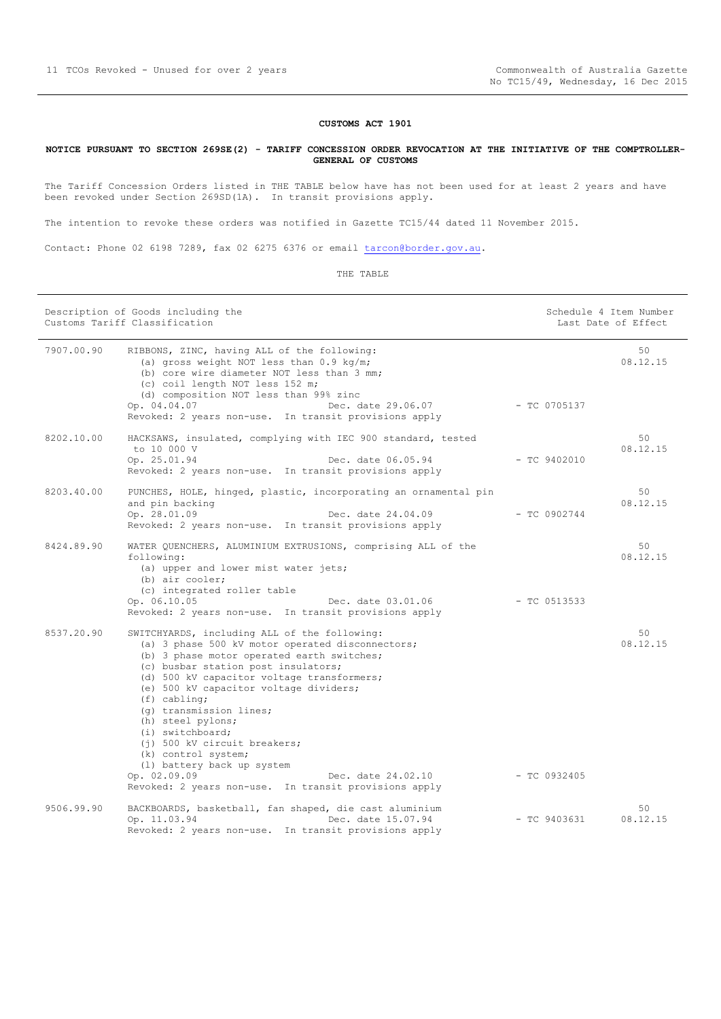## **CUSTOMS ACT 1901**

## <span id="page-10-0"></span>**NOTICE PURSUANT TO SECTION 269SE(2) - TARIFF CONCESSION ORDER REVOCATION AT THE INITIATIVE OF THE COMPTROLLER-GENERAL OF CUSTOMS**

The Tariff Concession Orders listed in THE TABLE below have has not been used for at least 2 years and have been revoked under Section 269SD(1A). In transit provisions apply.

The intention to revoke these orders was notified in Gazette TC15/44 dated 11 November 2015.

Contact: Phone 02 6198 7289, fax 02 6275 6376 or email [tarcon@border.gov.au.](mailto:tarcon@border.gov.au)

| Description of Goods including the<br>Customs Tariff Classification |                                                                                                                                                                                                                                                                                                                                                                                                                                                                                                                                                                                                                  | Schedule 4 Item Number<br>Last Date of Effect |                |
|---------------------------------------------------------------------|------------------------------------------------------------------------------------------------------------------------------------------------------------------------------------------------------------------------------------------------------------------------------------------------------------------------------------------------------------------------------------------------------------------------------------------------------------------------------------------------------------------------------------------------------------------------------------------------------------------|-----------------------------------------------|----------------|
| 7907.00.90                                                          | RIBBONS, ZINC, having ALL of the following:<br>(a) gross weight NOT less than 0.9 kg/m;<br>(b) core wire diameter NOT less than 3 mm;<br>(c) coil length NOT less 152 m;<br>(d) composition NOT less than 99% zinc                                                                                                                                                                                                                                                                                                                                                                                               |                                               | 50<br>08.12.15 |
|                                                                     | Op. 04.04.07<br>Dec. date 29.06.07<br>Revoked: 2 years non-use. In transit provisions apply                                                                                                                                                                                                                                                                                                                                                                                                                                                                                                                      | $- TC 0705137$                                |                |
| 8202.10.00                                                          | HACKSAWS, insulated, complying with IEC 900 standard, tested<br>to 10 000 V<br>Op. 25.01.94<br>Dec. date 06.05.94<br>Revoked: 2 years non-use. In transit provisions apply                                                                                                                                                                                                                                                                                                                                                                                                                                       | $-$ TC 9402010                                | 50<br>08.12.15 |
| 8203.40.00                                                          | PUNCHES, HOLE, hinged, plastic, incorporating an ornamental pin<br>and pin backing<br>Op. 28.01.09<br>Dec. date 24.04.09<br>Revoked: 2 years non-use. In transit provisions apply                                                                                                                                                                                                                                                                                                                                                                                                                                | $-$ TC 0902744                                | 50<br>08.12.15 |
| 8424.89.90                                                          | WATER QUENCHERS, ALUMINIUM EXTRUSIONS, comprising ALL of the<br>following:<br>(a) upper and lower mist water jets;<br>$(b)$ air cooler;<br>(c) integrated roller table<br>Op. 06.10.05<br>Dec. date 03.01.06                                                                                                                                                                                                                                                                                                                                                                                                     | $-$ TC 0513533                                | 50<br>08.12.15 |
| 8537.20.90                                                          | Revoked: 2 years non-use. In transit provisions apply<br>SWITCHYARDS, including ALL of the following:<br>(a) 3 phase 500 kV motor operated disconnectors;<br>(b) 3 phase motor operated earth switches;<br>(c) busbar station post insulators;<br>(d) 500 kV capacitor voltage transformers;<br>(e) 500 kV capacitor voltage dividers;<br>$(f)$ cabling;<br>(g) transmission lines;<br>(h) steel pylons;<br>(i) switchboard;<br>(j) 500 kV circuit breakers;<br>(k) control system;<br>(1) battery back up system<br>Op. 02.09.09<br>Dec. date 24.02.10<br>Revoked: 2 years non-use. In transit provisions apply | $-$ TC 0932405                                | 50<br>08.12.15 |
| 9506.99.90                                                          | BACKBOARDS, basketball, fan shaped, die cast aluminium<br>Op. 11.03.94<br>Dec. date 15.07.94<br>Revoked: 2 years non-use. In transit provisions apply                                                                                                                                                                                                                                                                                                                                                                                                                                                            | $-$ TC 9403631                                | 50<br>08.12.15 |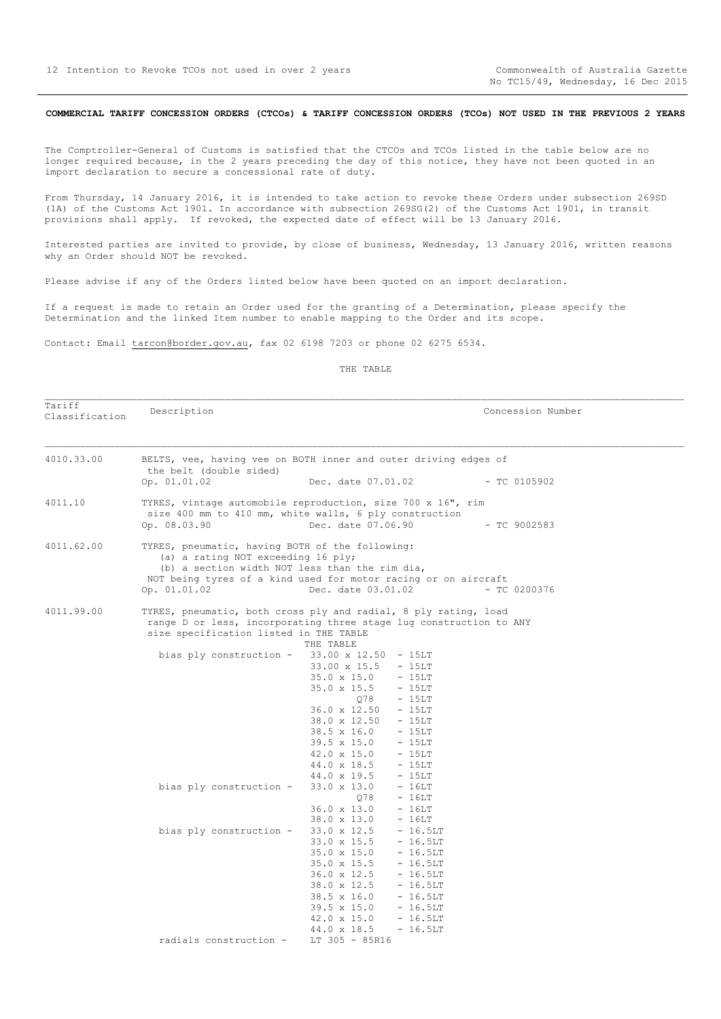Tariff<br>Classification

## <span id="page-11-0"></span>COMMERCIAL TARIFF CONCESSION ORDERS (CTCOs) & TARIFF CONCESSION ORDERS (TCOs) NOT USED IN THE PREVIOUS 2 YEARS

The Comptroller-General of Customs is satisfied that the CTCOs and TCOs listed in the table below are no longer required because, in the 2 years preceding the day of this notice, they have not been quoted in an import declaration to secure a concessional rate of duty.

From Thursday, 14 January 2016, it is intended to take action to revoke these Orders under subsection 269SD (1A) of the Customs Act 1901. In accordance with subsection 269SG(2) of the Customs Act 1901, in transit provisions shall apply. If revoked, the expected date of effect will be 13 January 2016.

Interested parties are invited to provide, by close of business, Wednesday, 13 January 2016, written reasons why an Order should NOT be revoked.

Please advise if any of the Orders listed below have been quoted on an import declaration.

If a request is made to retain an Order used for the granting of a Determination, please specify the Determination and the linked Item number to enable mapping to the Order and its scope.

Contact: Email tarcon@border.gov.au, fax 02 6198 7203 or phone 02 6275 6534.

THE TABLE

Description  $\blacksquare$ 

| BELTS, vee, having vee on BOTH inner and outer driving edges of<br>the belt (double sided)                                                                                                                                                                                                                                                                                                       |
|--------------------------------------------------------------------------------------------------------------------------------------------------------------------------------------------------------------------------------------------------------------------------------------------------------------------------------------------------------------------------------------------------|
| Op. 01.01.02<br>Dec. date 07.01.02<br>$-$ TC 0105902                                                                                                                                                                                                                                                                                                                                             |
| TYRES, vintage automobile reproduction, size 700 x 16", rim<br>size 400 mm to 410 mm, white walls, 6 ply construction<br>Op. 08.03.90<br>Dec. date 07.06.90<br>$-$ TC 9002583                                                                                                                                                                                                                    |
| TYRES, pneumatic, having BOTH of the following:<br>(a) a rating NOT exceeding 16 ply;<br>(b) a section width NOT less than the rim dia,<br>NOT being tyres of a kind used for motor racing or on aircraft<br>Op. 01.01.02<br>Dec. date 03.01.02<br>$-$ TC 0200376                                                                                                                                |
| TYRES, pneumatic, both cross ply and radial, 8 ply rating, load<br>range D or less, incorporating three stage lug construction to ANY<br>size specification listed in THE TABLE<br>THE TABLE                                                                                                                                                                                                     |
| bias ply construction - $33.00 \times 12.50 - 15LT$<br>33.00 x 15.5 - 15LT<br>$35.0 \times 15.0 - 15LT$<br>$35.0 \times 15.5 - 15LT$<br>078 - 15LT<br>$36.0 \times 12.50 - 15LT$<br>38.0 x 12.50 - 15LT<br>$38.5 \times 16.0 - 15LT$<br>39.5 x 15.0 - 15LT<br>$42.0 \times 15.0 - 15LT$<br>$44.0 \times 18.5 - 15LT$<br>44.0 x 19.5<br>$-15LT$                                                   |
| $33.0 \times 13.0 - 16LT$<br>bias ply construction -<br>078<br>$-16LT$<br>$36.0 \times 13.0 - 16LT$<br>38.0 x 13.0<br>- 16LT                                                                                                                                                                                                                                                                     |
| bias ply construction -<br>$33.0 \times 12.5 - 16.5LT$<br>$33.0 \times 15.5 - 16.5LT$<br>$35.0 \times 15.0$<br>$-16.5LT$<br>$35.0 \times 15.5 - 16.5LT$<br>$36.0 \times 12.5$<br>$-16.5LT$<br>$38.0 \times 12.5 - 16.5LT$<br>$38.5 \times 16.0 - 16.5LT$<br>$39.5 \times 15.0 - 16.5LT$<br>$42.0 \times 15.0 - 16.5LT$<br>44.0 x 18.5<br>$-16.5LT$<br>radials construction -<br>$LT$ 305 - 85R16 |
|                                                                                                                                                                                                                                                                                                                                                                                                  |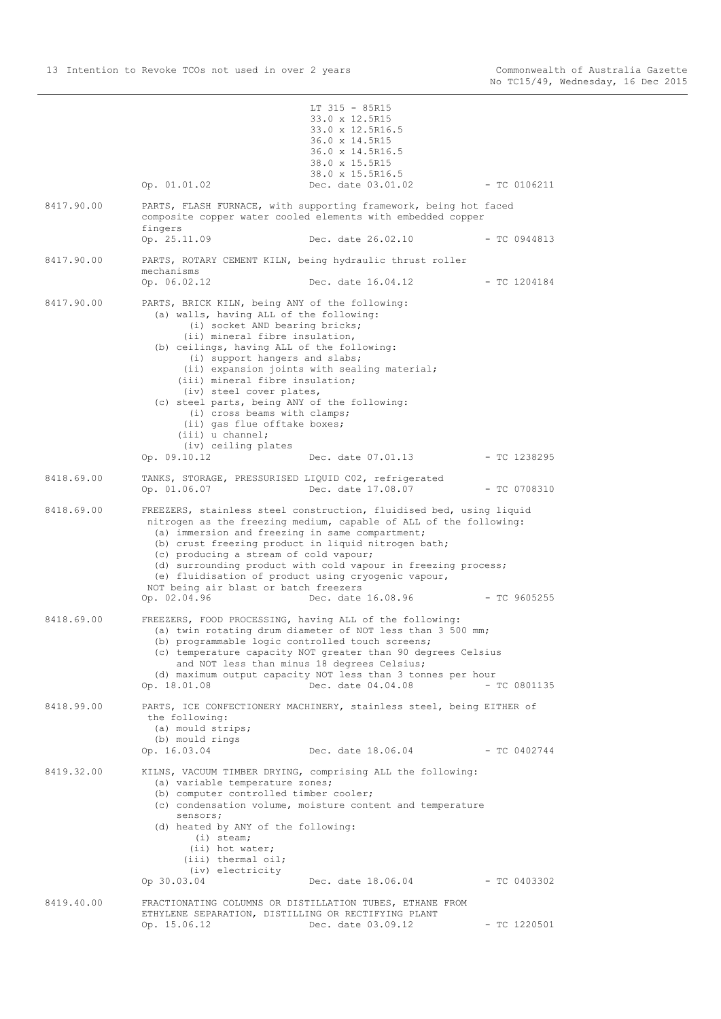|            |                                                                                                                                                                                                                                                                                                                                                                                                                                                                           | LT 315 - 85R15                                                                                                                                                                                                                  |                |
|------------|---------------------------------------------------------------------------------------------------------------------------------------------------------------------------------------------------------------------------------------------------------------------------------------------------------------------------------------------------------------------------------------------------------------------------------------------------------------------------|---------------------------------------------------------------------------------------------------------------------------------------------------------------------------------------------------------------------------------|----------------|
|            |                                                                                                                                                                                                                                                                                                                                                                                                                                                                           | 33.0 x 12.5R15                                                                                                                                                                                                                  |                |
|            |                                                                                                                                                                                                                                                                                                                                                                                                                                                                           | 33.0 x 12.5R16.5<br>36.0 x 14.5R15                                                                                                                                                                                              |                |
|            |                                                                                                                                                                                                                                                                                                                                                                                                                                                                           | 36.0 x 14.5R16.5                                                                                                                                                                                                                |                |
|            |                                                                                                                                                                                                                                                                                                                                                                                                                                                                           | 38.0 x 15.5R15                                                                                                                                                                                                                  |                |
|            |                                                                                                                                                                                                                                                                                                                                                                                                                                                                           | 38.0 x 15.5R16.5                                                                                                                                                                                                                |                |
|            | Op. 01.01.02                                                                                                                                                                                                                                                                                                                                                                                                                                                              | Dec. date 03.01.02                                                                                                                                                                                                              | $-$ TC 0106211 |
| 8417.90.00 | fingers                                                                                                                                                                                                                                                                                                                                                                                                                                                                   | PARTS, FLASH FURNACE, with supporting framework, being hot faced<br>composite copper water cooled elements with embedded copper                                                                                                 |                |
|            | Op. 25.11.09                                                                                                                                                                                                                                                                                                                                                                                                                                                              | Dec. date 26.02.10                                                                                                                                                                                                              | $-$ TC 0944813 |
| 8417.90.00 | mechanisms<br>Op. 06.02.12                                                                                                                                                                                                                                                                                                                                                                                                                                                | PARTS, ROTARY CEMENT KILN, being hydraulic thrust roller<br>Dec. date 16.04.12                                                                                                                                                  | $-$ TC 1204184 |
| 8417.90.00 | PARTS, BRICK KILN, being ANY of the following:<br>(a) walls, having ALL of the following:<br>(i) socket AND bearing bricks;<br>(ii) mineral fibre insulation,<br>(b) ceilings, having ALL of the following:<br>(i) support hangers and slabs;<br>(iii) mineral fibre insulation;<br>(iv) steel cover plates,<br>(c) steel parts, being ANY of the following:<br>(i) cross beams with clamps;<br>(ii) gas flue offtake boxes;<br>$(iii)$ u channel;<br>(iv) ceiling plates | (ii) expansion joints with sealing material;                                                                                                                                                                                    |                |
|            | Op. 09.10.12                                                                                                                                                                                                                                                                                                                                                                                                                                                              | Dec. date 07.01.13                                                                                                                                                                                                              | $-$ TC 1238295 |
| 8418.69.00 | TANKS, STORAGE, PRESSURISED LIQUID C02, refrigerated<br>Op. 01.06.07                                                                                                                                                                                                                                                                                                                                                                                                      | Dec. date 17.08.07                                                                                                                                                                                                              | $-$ TC 0708310 |
| 8418.69.00 | (a) immersion and freezing in same compartment;<br>(b) crust freezing product in liquid nitrogen bath;<br>(c) producing a stream of cold vapour;<br>(e) fluidisation of product using cryogenic vapour,<br>NOT being air blast or batch freezers<br>Op. 02.04.96                                                                                                                                                                                                          | FREEZERS, stainless steel construction, fluidised bed, using liquid<br>nitrogen as the freezing medium, capable of ALL of the following:<br>(d) surrounding product with cold vapour in freezing process;<br>Dec. date 16.08.96 | $-$ TC 9605255 |
| 8418.69.00 | FREEZERS, FOOD PROCESSING, having ALL of the following:<br>(b) programmable logic controlled touch screens;<br>and NOT less than minus 18 degrees Celsius;                                                                                                                                                                                                                                                                                                                | (a) twin rotating drum diameter of NOT less than 3 500 mm;<br>(c) temperature capacity NOT greater than 90 degrees Celsius                                                                                                      |                |
|            | Op. 18.01.08                                                                                                                                                                                                                                                                                                                                                                                                                                                              | (d) maximum output capacity NOT less than 3 tonnes per hour<br>Dec. date 04.04.08                                                                                                                                               | $-$ TC 0801135 |
| 8418.99.00 | the following:<br>(a) mould strips;<br>(b) mould rings                                                                                                                                                                                                                                                                                                                                                                                                                    | PARTS, ICE CONFECTIONERY MACHINERY, stainless steel, being EITHER of                                                                                                                                                            |                |
|            | Op. 16.03.04                                                                                                                                                                                                                                                                                                                                                                                                                                                              | Dec. date 18.06.04                                                                                                                                                                                                              | $-$ TC 0402744 |
| 8419.32.00 | (a) variable temperature zones;<br>(b) computer controlled timber cooler;<br>sensors;<br>(d) heated by ANY of the following:<br>$(i)$ steam;<br>(ii) hot water;<br>(iii) thermal oil;<br>(iv) electricity<br>Op 30.03.04                                                                                                                                                                                                                                                  | KILNS, VACUUM TIMBER DRYING, comprising ALL the following:<br>(c) condensation volume, moisture content and temperature<br>Dec. date $18.06.04$ - TC 0403302                                                                    |                |
| 8419.40.00 |                                                                                                                                                                                                                                                                                                                                                                                                                                                                           | FRACTIONATING COLUMNS OR DISTILLATION TUBES, ETHANE FROM                                                                                                                                                                        |                |
|            | ETHYLENE SEPARATION, DISTILLING OR RECTIFYING PLANT<br>Op. 15.06.12                                                                                                                                                                                                                                                                                                                                                                                                       | Dec. date 03.09.12                                                                                                                                                                                                              | $-$ TC 1220501 |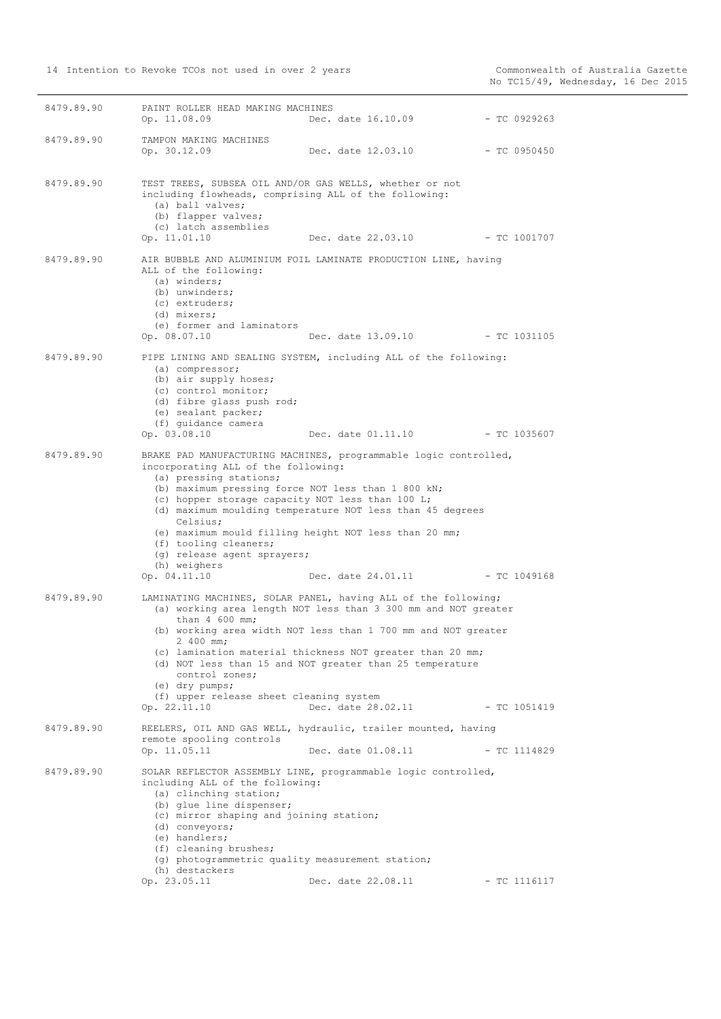| 8479.89.90 | PAINT ROLLER HEAD MAKING MACHINES<br>Op. 11.08.09                                                                                                                                                                                                                                  | Dec. date 16.10.09                                                                                                                                                                                                                                                                                                                               | - TC 0929263   |
|------------|------------------------------------------------------------------------------------------------------------------------------------------------------------------------------------------------------------------------------------------------------------------------------------|--------------------------------------------------------------------------------------------------------------------------------------------------------------------------------------------------------------------------------------------------------------------------------------------------------------------------------------------------|----------------|
| 8479.89.90 | TAMPON MAKING MACHINES<br>Op. 30.12.09                                                                                                                                                                                                                                             | Dec. date 12.03.10                                                                                                                                                                                                                                                                                                                               | - TC 0950450   |
| 8479.89.90 | TEST TREES, SUBSEA OIL AND/OR GAS WELLS, whether or not<br>including flowheads, comprising ALL of the following:<br>(a) ball valves;<br>(b) flapper valves;<br>(c) latch assemblies<br>Op. 11.01.10                                                                                | Dec. date 22.03.10 - TC 1001707                                                                                                                                                                                                                                                                                                                  |                |
| 8479.89.90 | ALL of the following:<br>(a) winders;<br>(b) unwinders;<br>(c) extruders;<br>(d) mixers;<br>(e) former and laminators<br>Op. 08.07.10                                                                                                                                              | AIR BUBBLE AND ALUMINIUM FOIL LAMINATE PRODUCTION LINE, having<br>Dec. date 13.09.10                                                                                                                                                                                                                                                             | - TC 1031105   |
| 8479.89.90 | (a) compressor;<br>(b) air supply hoses;<br>(c) control monitor;<br>(d) fibre glass push rod;<br>(e) sealant packer;<br>(f) quidance camera<br>Op. 03.08.10                                                                                                                        | PIPE LINING AND SEALING SYSTEM, including ALL of the following:<br>Dec. date 01.11.10 - TC 1035607                                                                                                                                                                                                                                               |                |
| 8479.89.90 | incorporating ALL of the following:<br>(a) pressing stations;<br>(b) maximum pressing force NOT less than 1 800 kN;<br>(c) hopper storage capacity NOT less than 100 L;<br>Celsius;<br>(f) tooling cleaners;<br>(g) release agent sprayers;<br>(h) weighers<br>Op. 04.11.10        | BRAKE PAD MANUFACTURING MACHINES, programmable logic controlled,<br>(d) maximum moulding temperature NOT less than 45 degrees<br>(e) maximum mould filling height NOT less than 20 mm;<br>Dec. date 24.01.11                                                                                                                                     | - TC 1049168   |
| 8479.89.90 | than $4\,600$ mm;<br>2 400 mm;<br>control zones;<br>$(e)$ dry pumps;<br>(f) upper release sheet cleaning system<br>Op. 22.11.10                                                                                                                                                    | LAMINATING MACHINES, SOLAR PANEL, having ALL of the following;<br>(a) working area length NOT less than 3 300 mm and NOT greater<br>(b) working area width NOT less than 1 700 mm and NOT greater<br>(c) lamination material thickness NOT greater than 20 mm;<br>(d) NOT less than 15 and NOT greater than 25 temperature<br>Dec. date 28.02.11 | - TC 1051419   |
| 8479.89.90 | remote spooling controls<br>Op. 11.05.11                                                                                                                                                                                                                                           | REELERS, OIL AND GAS WELL, hydraulic, trailer mounted, having<br>Dec. date 01.08.11                                                                                                                                                                                                                                                              | $-$ TC 1114829 |
| 8479.89.90 | including ALL of the following:<br>(a) clinching station;<br>(b) glue line dispenser;<br>(c) mirror shaping and joining station;<br>(d) conveyors;<br>(e) handlers;<br>(f) cleaning brushes;<br>(g) photogrammetric quality measurement station;<br>(h) destackers<br>Op. 23.05.11 | SOLAR REFLECTOR ASSEMBLY LINE, programmable logic controlled,<br>Dec. date 22.08.11                                                                                                                                                                                                                                                              | $-$ TC 1116117 |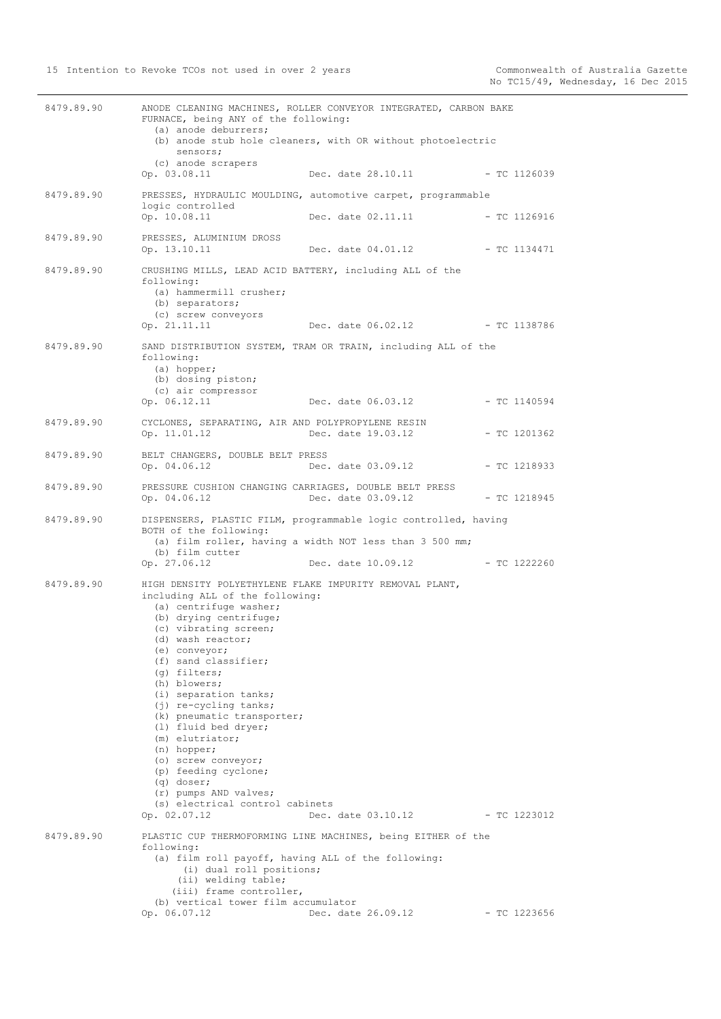| 8479.89.90 | ANODE CLEANING MACHINES, ROLLER CONVEYOR INTEGRATED, CARBON BAKE<br>FURNACE, being ANY of the following:<br>(a) anode deburrers;<br>sensors;                                                                                                                                                                                                                                                                                                                                                                                                               | (b) anode stub hole cleaners, with OR without photoelectric                   |                |
|------------|------------------------------------------------------------------------------------------------------------------------------------------------------------------------------------------------------------------------------------------------------------------------------------------------------------------------------------------------------------------------------------------------------------------------------------------------------------------------------------------------------------------------------------------------------------|-------------------------------------------------------------------------------|----------------|
|            | (c) anode scrapers<br>Op. 03.08.11                                                                                                                                                                                                                                                                                                                                                                                                                                                                                                                         | Dec. date 28.10.11                                                            | $-TC$ 1126039  |
| 8479.89.90 | PRESSES, HYDRAULIC MOULDING, automotive carpet, programmable<br>logic controlled                                                                                                                                                                                                                                                                                                                                                                                                                                                                           |                                                                               |                |
|            | Op. 10.08.11                                                                                                                                                                                                                                                                                                                                                                                                                                                                                                                                               | Dec. date 02.11.11                                                            | $-$ TC 1126916 |
| 8479.89.90 | PRESSES, ALUMINIUM DROSS<br>Op. 13.10.11                                                                                                                                                                                                                                                                                                                                                                                                                                                                                                                   | Dec. date 04.01.12                                                            | - TC 1134471   |
| 8479.89.90 | CRUSHING MILLS, LEAD ACID BATTERY, including ALL of the<br>following:<br>(a) hammermill crusher;<br>(b) separators;<br>(c) screw conveyors<br>Op. 21.11.11                                                                                                                                                                                                                                                                                                                                                                                                 | Dec. date 06.02.12 - TC 1138786                                               |                |
| 8479.89.90 | SAND DISTRIBUTION SYSTEM, TRAM OR TRAIN, including ALL of the<br>following:<br>(a) hopper;<br>(b) dosing piston;<br>(c) air compressor<br>Op. 06.12.11                                                                                                                                                                                                                                                                                                                                                                                                     | Dec. date 06.03.12                                                            | $-$ TC 1140594 |
| 8479.89.90 | CYCLONES, SEPARATING, AIR AND POLYPROPYLENE RESIN<br>Op. 11.01.12                                                                                                                                                                                                                                                                                                                                                                                                                                                                                          | Dec. date 19.03.12                                                            | $-$ TC 1201362 |
| 8479.89.90 | BELT CHANGERS, DOUBLE BELT PRESS<br>Op. 04.06.12                                                                                                                                                                                                                                                                                                                                                                                                                                                                                                           | Dec. date 03.09.12                                                            | $-$ TC 1218933 |
| 8479.89.90 | PRESSURE CUSHION CHANGING CARRIAGES, DOUBLE BELT PRESS<br>Op. 04.06.12                                                                                                                                                                                                                                                                                                                                                                                                                                                                                     | Dec. date 03.09.12                                                            | $-$ TC 1218945 |
| 8479.89.90 | DISPENSERS, PLASTIC FILM, programmable logic controlled, having<br>BOTH of the following:<br>(b) film cutter<br>Op. 27.06.12                                                                                                                                                                                                                                                                                                                                                                                                                               | (a) film roller, having a width NOT less than 3 500 mm;<br>Dec. date 10.09.12 | $-$ TC 1222260 |
| 8479.89.90 | HIGH DENSITY POLYETHYLENE FLAKE IMPURITY REMOVAL PLANT,<br>including ALL of the following:<br>(a) centrifuge washer;<br>(b) drying centrifuge;<br>(c) vibrating screen;<br>(d) wash reactor;<br>(e) conveyor;<br>(f) sand classifier;<br>(g) filters;<br>(h) blowers;<br>(i) separation tanks;<br>(j) re-cycling tanks;<br>(k) pneumatic transporter;<br>(1) fluid bed dryer;<br>(m) elutriator;<br>(n) hopper;<br>(o) screw conveyor;<br>(p) feeding cyclone;<br>$(q)$ doser;<br>(r) pumps AND valves;<br>(s) electrical control cabinets<br>Op. 02.07.12 | Dec. date 03.10.12 - TC 1223012                                               |                |
| 8479.89.90 | PLASTIC CUP THERMOFORMING LINE MACHINES, being EITHER of the<br>following:<br>(i) dual roll positions;<br>(ii) welding table;<br>(iii) frame controller,                                                                                                                                                                                                                                                                                                                                                                                                   | (a) film roll payoff, having ALL of the following:                            |                |
|            | (b) vertical tower film accumulator<br>Op. 06.07.12                                                                                                                                                                                                                                                                                                                                                                                                                                                                                                        | Dec. date 26.09.12                                                            | $-$ TC 1223656 |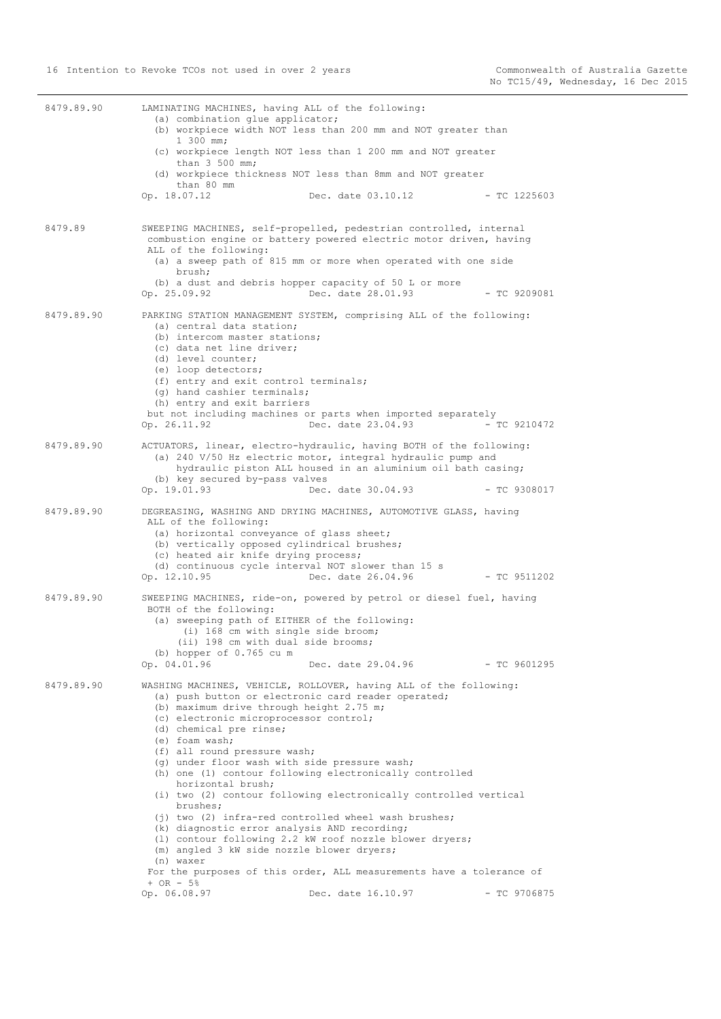| 8479.89.90 | LAMINATING MACHINES, having ALL of the following:<br>(a) combination glue applicator;<br>(b) workpiece width NOT less than 200 mm and NOT greater than<br>$1\,300\,$ mm;<br>(c) workpiece length NOT less than 1 200 mm and NOT greater<br>than $3\,500$ mm;<br>(d) workpiece thickness NOT less than 8mm and NOT greater<br>than 80 mm<br>Dec. date 03.10.12<br>Op. 18.07.12<br>- TC 1225603                                                                                                                                                                                                                                                                                                                                                                                                                                                                                                |
|------------|----------------------------------------------------------------------------------------------------------------------------------------------------------------------------------------------------------------------------------------------------------------------------------------------------------------------------------------------------------------------------------------------------------------------------------------------------------------------------------------------------------------------------------------------------------------------------------------------------------------------------------------------------------------------------------------------------------------------------------------------------------------------------------------------------------------------------------------------------------------------------------------------|
| 8479.89    | SWEEPING MACHINES, self-propelled, pedestrian controlled, internal<br>combustion engine or battery powered electric motor driven, having<br>ALL of the following:<br>(a) a sweep path of 815 mm or more when operated with one side<br>brush;<br>(b) a dust and debris hopper capacity of 50 L or more<br>Dec. date 28.01.93<br>Op. 25.09.92<br>$-$ TC 9209081                                                                                                                                                                                                                                                                                                                                                                                                                                                                                                                               |
| 8479.89.90 | PARKING STATION MANAGEMENT SYSTEM, comprising ALL of the following:<br>(a) central data station;<br>(b) intercom master stations;<br>(c) data net line driver;<br>(d) level counter;<br>(e) loop detectors;<br>(f) entry and exit control terminals;<br>(q) hand cashier terminals;<br>(h) entry and exit barriers<br>but not including machines or parts when imported separately<br>Dec. date 23.04.93<br>Op. 26.11.92<br>$-$ TC 9210472                                                                                                                                                                                                                                                                                                                                                                                                                                                   |
| 8479.89.90 | ACTUATORS, linear, electro-hydraulic, having BOTH of the following:<br>(a) 240 V/50 Hz electric motor, integral hydraulic pump and<br>hydraulic piston ALL housed in an aluminium oil bath casing;<br>(b) key secured by-pass valves<br>Op. 19.01.93<br>Dec. date 30.04.93<br>$-$ TC 9308017                                                                                                                                                                                                                                                                                                                                                                                                                                                                                                                                                                                                 |
| 8479.89.90 | DEGREASING, WASHING AND DRYING MACHINES, AUTOMOTIVE GLASS, having<br>ALL of the following:<br>(a) horizontal conveyance of glass sheet;<br>(b) vertically opposed cylindrical brushes;<br>(c) heated air knife drying process;<br>(d) continuous cycle interval NOT slower than 15 s<br>Op. 12.10.95<br>Dec. date 26.04.96<br>$-$ TC 9511202                                                                                                                                                                                                                                                                                                                                                                                                                                                                                                                                                 |
| 8479.89.90 | SWEEPING MACHINES, ride-on, powered by petrol or diesel fuel, having<br>BOTH of the following:<br>(a) sweeping path of EITHER of the following:<br>(i) 168 cm with single side broom;<br>(ii) 198 cm with dual side brooms;<br>(b) hopper of $0.765$ cum<br>Op. 04.01.96<br>Dec. date 29.04.96<br>$-$ TC 9601295                                                                                                                                                                                                                                                                                                                                                                                                                                                                                                                                                                             |
| 8479.89.90 | WASHING MACHINES, VEHICLE, ROLLOVER, having ALL of the following:<br>(a) push button or electronic card reader operated;<br>(b) maximum drive through height 2.75 m;<br>(c) electronic microprocessor control;<br>(d) chemical pre rinse;<br>(e) foam wash;<br>(f) all round pressure wash;<br>(q) under floor wash with side pressure wash;<br>(h) one (1) contour following electronically controlled<br>horizontal brush;<br>(i) two (2) contour following electronically controlled vertical<br>brushes;<br>$(j)$ two (2) infra-red controlled wheel wash brushes;<br>(k) diagnostic error analysis AND recording;<br>(1) contour following 2.2 kW roof nozzle blower dryers;<br>(m) angled 3 kW side nozzle blower dryers;<br>(n) waxer<br>For the purposes of this order, ALL measurements have a tolerance of<br>$+ OR - 5$ %<br>Op. 06.08.97<br>Dec. date 16.10.97<br>$-$ TC 9706875 |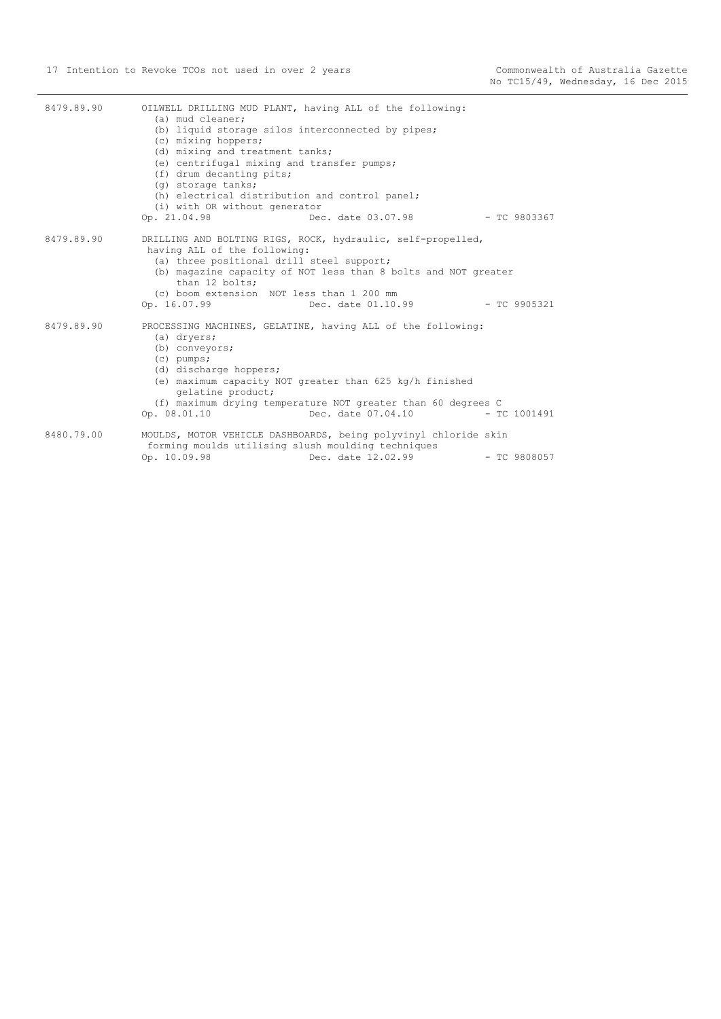| 8479.89.90 | OILWELL DRILLING MUD PLANT, having ALL of the following:<br>(a) mud cleaner:<br>(b) liquid storage silos interconnected by pipes;<br>(c) mixing hoppers;<br>(d) mixing and treatment tanks;<br>(e) centrifugal mixing and transfer pumps;<br>(f) drum decanting pits;<br>(q) storage tanks;<br>(h) electrical distribution and control panel;<br>(i) with OR without generator |                                                                                                                                                                                                                           |                |
|------------|--------------------------------------------------------------------------------------------------------------------------------------------------------------------------------------------------------------------------------------------------------------------------------------------------------------------------------------------------------------------------------|---------------------------------------------------------------------------------------------------------------------------------------------------------------------------------------------------------------------------|----------------|
|            | Op. 21.04.98                                                                                                                                                                                                                                                                                                                                                                   | Dec. date 03.07.98                                                                                                                                                                                                        | $-$ TC 9803367 |
| 8479.89.90 | having ALL of the following:<br>(a) three positional drill steel support;<br>than 12 bolts;<br>(c) boom extension NOT less than 1 200 mm<br>Op. 16.07.99                                                                                                                                                                                                                       | DRILLING AND BOLTING RIGS, ROCK, hydraulic, self-propelled,<br>(b) magazine capacity of NOT less than 8 bolts and NOT greater<br>Dec. date 01.10.99                                                                       | - TC 9905321   |
| 8479.89.90 | (a) dryers;<br>(b) conveyors;<br>$(c)$ pumps;<br>(d) discharge hoppers;<br>qelatine product;<br>Op. 08.01.10                                                                                                                                                                                                                                                                   | PROCESSING MACHINES, GELATINE, having ALL of the following:<br>(e) maximum capacity NOT greater than 625 kg/h finished<br>(f) maximum drying temperature NOT greater than 60 degrees C<br>Dec. date 07.04.10 - TC 1001491 |                |
| 8480.79.00 | forming moulds utilising slush moulding techniques<br>Op. 10.09.98                                                                                                                                                                                                                                                                                                             | MOULDS, MOTOR VEHICLE DASHBOARDS, being polyvinyl chloride skin<br>Dec. date 12.02.99                                                                                                                                     | $-$ TC 9808057 |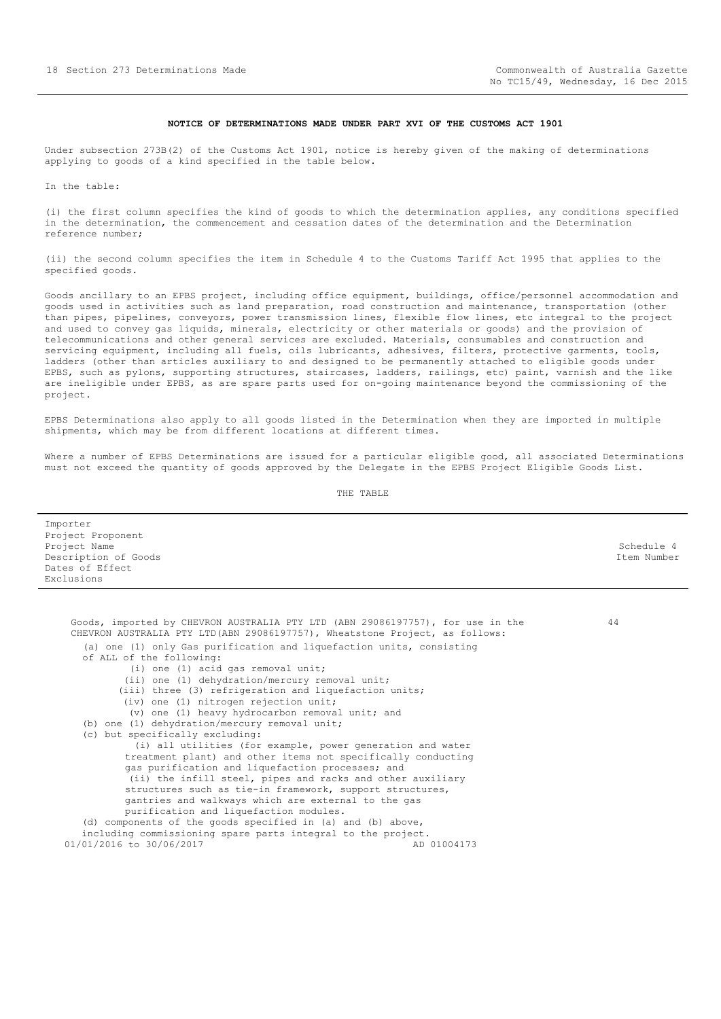## **NOTICE OF DETERMINATIONS MADE UNDER PART XVI OF THE CUSTOMS ACT 1901**

<span id="page-17-0"></span>Under subsection 273B(2) of the Customs Act 1901, notice is hereby given of the making of determinations applying to goods of a kind specified in the table below.

In the table:

(i) the first column specifies the kind of goods to which the determination applies, any conditions specified in the determination, the commencement and cessation dates of the determination and the Determination reference number;

(ii) the second column specifies the item in Schedule 4 to the Customs Tariff Act 1995 that applies to the specified goods.

Goods ancillary to an EPBS project, including office equipment, buildings, office/personnel accommodation and goods used in activities such as land preparation, road construction and maintenance, transportation (other than pipes, pipelines, conveyors, power transmission lines, flexible flow lines, etc integral to the project and used to convey gas liquids, minerals, electricity or other materials or goods) and the provision of telecommunications and other general services are excluded. Materials, consumables and construction and servicing equipment, including all fuels, oils lubricants, adhesives, filters, protective garments, tools, ladders (other than articles auxiliary to and designed to be permanently attached to eligible goods under EPBS, such as pylons, supporting structures, staircases, ladders, railings, etc) paint, varnish and the like are ineligible under EPBS, as are spare parts used for on-going maintenance beyond the commissioning of the project.

EPBS Determinations also apply to all goods listed in the Determination when they are imported in multiple shipments, which may be from different locations at different times.

Where a number of EPBS Determinations are issued for a particular eligible good, all associated Determinations must not exceed the quantity of goods approved by the Delegate in the EPBS Project Eligible Goods List.

| Importer<br>Project Proponent<br>Project Name<br>Description of Goods<br>Dates of Effect<br>Exclusions                                                                                                                                                                                                                                                                                                                                                                                                                                                                                                                                                                                                                            | Schedule 4<br>Ttem Number |
|-----------------------------------------------------------------------------------------------------------------------------------------------------------------------------------------------------------------------------------------------------------------------------------------------------------------------------------------------------------------------------------------------------------------------------------------------------------------------------------------------------------------------------------------------------------------------------------------------------------------------------------------------------------------------------------------------------------------------------------|---------------------------|
|                                                                                                                                                                                                                                                                                                                                                                                                                                                                                                                                                                                                                                                                                                                                   |                           |
| Goods, imported by CHEVRON AUSTRALIA PTY LTD (ABN 29086197757), for use in the<br>CHEVRON AUSTRALIA PTY LTD (ABN 29086197757), Wheatstone Project, as follows:<br>(a) one (1) only Gas purification and liquefaction units, consisting<br>of ALL of the following:<br>(i) one (1) acid gas removal unit;<br>(ii) one (1) dehydration/mercury removal unit;<br>(iii) three (3) refrigeration and liquefaction units;<br>(iv) one (1) nitrogen rejection unit;<br>(v) one (1) heavy hydrocarbon removal unit; and<br>(b) one (1) dehydration/mercury removal unit;<br>(c) but specifically excluding:<br>(i) all utilities (for example, power generation and water<br>treatment plant) and other items not specifically conducting | 44                        |
| gas purification and liquefaction processes; and<br>(ii) the infill steel, pipes and racks and other auxiliary<br>structures such as tie-in framework, support structures,<br>gantries and walkways which are external to the gas<br>purification and liquefaction modules.<br>(d) components of the goods specified in (a) and (b) above,<br>including commissioning spare parts integral to the project.<br>01/01/2016 to 30/06/2017<br>AD 01004173                                                                                                                                                                                                                                                                             |                           |